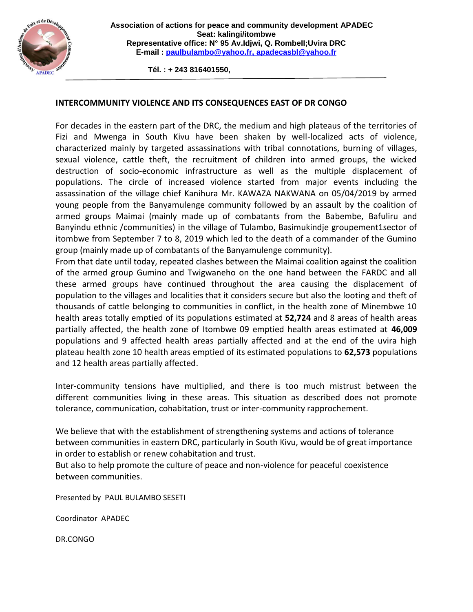

 **Tél. : + 243 816401550,**

## **INTERCOMMUNITY VIOLENCE AND ITS CONSEQUENCES EAST OF DR CONGO**

For decades in the eastern part of the DRC, the medium and high plateaus of the territories of Fizi and Mwenga in South Kivu have been shaken by well-localized acts of violence, characterized mainly by targeted assassinations with tribal connotations, burning of villages, sexual violence, cattle theft, the recruitment of children into armed groups, the wicked destruction of socio-economic infrastructure as well as the multiple displacement of populations. The circle of increased violence started from major events including the assassination of the village chief Kanihura Mr. KAWAZA NAKWANA on 05/04/2019 by armed young people from the Banyamulenge community followed by an assault by the coalition of armed groups Maimai (mainly made up of combatants from the Babembe, Bafuliru and Banyindu ethnic /communities) in the village of Tulambo, Basimukindje groupement1sector of itombwe from September 7 to 8, 2019 which led to the death of a commander of the Gumino group (mainly made up of combatants of the Banyamulenge community).

From that date until today, repeated clashes between the Maimai coalition against the coalition of the armed group Gumino and Twigwaneho on the one hand between the FARDC and all these armed groups have continued throughout the area causing the displacement of population to the villages and localities that it considers secure but also the looting and theft of thousands of cattle belonging to communities in conflict, in the health zone of Minembwe 10 health areas totally emptied of its populations estimated at **52,724** and 8 areas of health areas partially affected, the health zone of Itombwe 09 emptied health areas estimated at **46,009** populations and 9 affected health areas partially affected and at the end of the uvira high plateau health zone 10 health areas emptied of its estimated populations to **62,573** populations and 12 health areas partially affected.

Inter-community tensions have multiplied, and there is too much mistrust between the different communities living in these areas. This situation as described does not promote tolerance, communication, cohabitation, trust or inter-community rapprochement.

We believe that with the establishment of strengthening systems and actions of tolerance between communities in eastern DRC, particularly in South Kivu, would be of great importance in order to establish or renew cohabitation and trust.

But also to help promote the culture of peace and non-violence for peaceful coexistence between communities.

Presented by PAUL BULAMBO SESETI

Coordinator APADEC

DR.CONGO